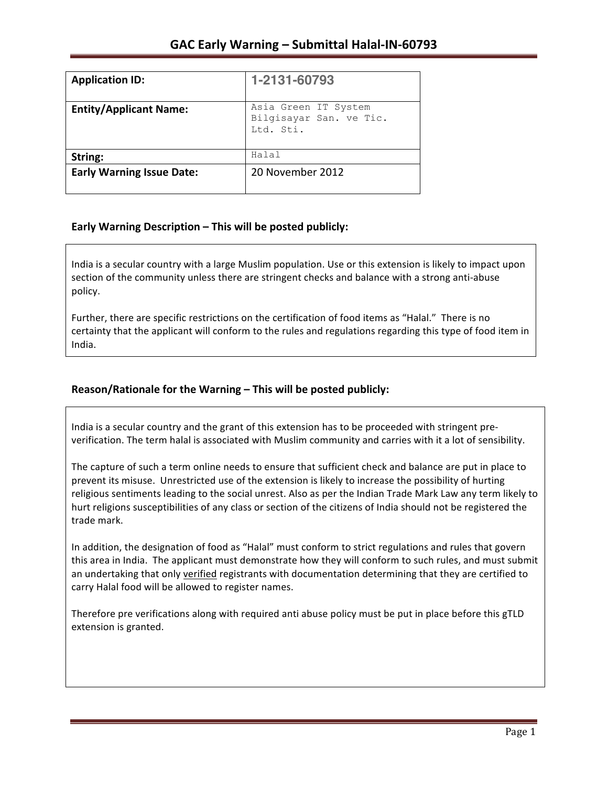| <b>Application ID:</b>           | 1-2131-60793                                                 |
|----------------------------------|--------------------------------------------------------------|
| <b>Entity/Applicant Name:</b>    | Asia Green IT System<br>Bilgisayar San. ve Tic.<br>Ltd. Sti. |
| String:                          | Halal                                                        |
| <b>Early Warning Issue Date:</b> | 20 November 2012                                             |

### **Early Warning Description – This will be posted publicly:**

India is a secular country with a large Muslim population. Use or this extension is likely to impact upon section of the community unless there are stringent checks and balance with a strong anti-abuse policy.

Further, there are specific restrictions on the certification of food items as "Halal." There is no certainty that the applicant will conform to the rules and regulations regarding this type of food item in India.

## **Reason/Rationale for the Warning – This will be posted publicly:**

India is a secular country and the grant of this extension has to be proceeded with stringent preverification. The term halal is associated with Muslim community and carries with it a lot of sensibility.

The capture of such a term online needs to ensure that sufficient check and balance are put in place to prevent its misuse. Unrestricted use of the extension is likely to increase the possibility of hurting religious sentiments leading to the social unrest. Also as per the Indian Trade Mark Law any term likely to hurt religions susceptibilities of any class or section of the citizens of India should not be registered the trade mark.

In addition, the designation of food as "Halal" must conform to strict regulations and rules that govern this area in India. The applicant must demonstrate how they will conform to such rules, and must submit an undertaking that only verified registrants with documentation determining that they are certified to carry Halal food will be allowed to register names.

Therefore pre verifications along with required anti abuse policy must be put in place before this gTLD extension is granted.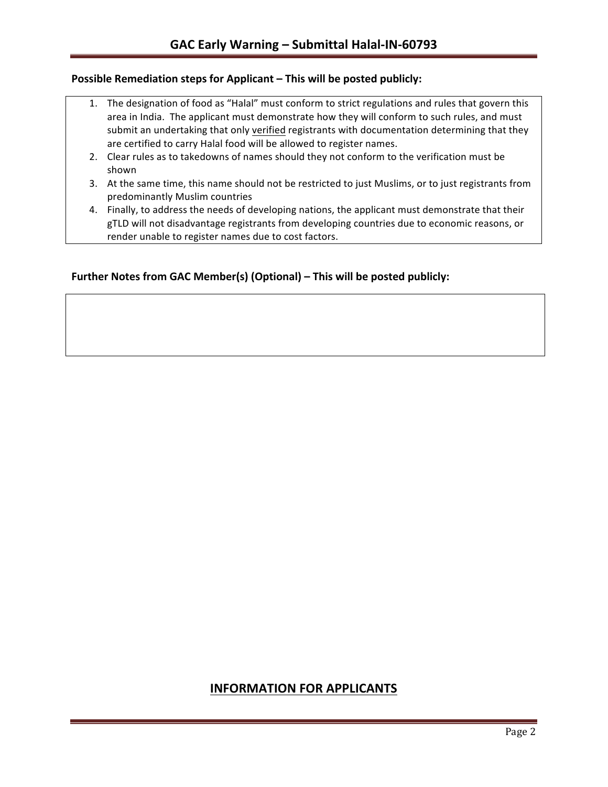### **Possible Remediation steps for Applicant – This will be posted publicly:**

- 1. The designation of food as "Halal" must conform to strict regulations and rules that govern this area in India. The applicant must demonstrate how they will conform to such rules, and must submit an undertaking that only verified registrants with documentation determining that they are certified to carry Halal food will be allowed to register names.
- 2. Clear rules as to takedowns of names should they not conform to the verification must be shown
- 3. At the same time, this name should not be restricted to just Muslims, or to just registrants from predominantly Muslim countries
- 4. Finally, to address the needs of developing nations, the applicant must demonstrate that their gTLD will not disadvantage registrants from developing countries due to economic reasons, or render unable to register names due to cost factors.

### **Further Notes from GAC Member(s) (Optional) – This will be posted publicly:**

# **INFORMATION FOR APPLICANTS**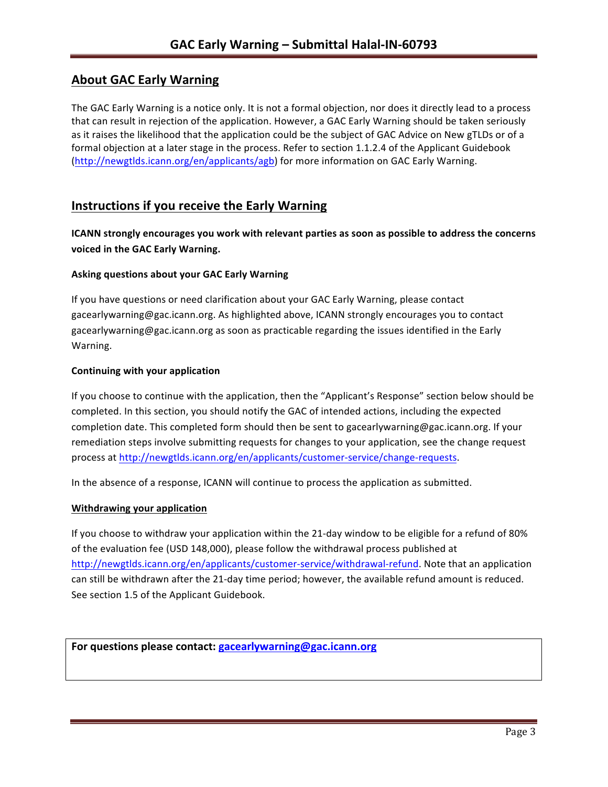# **About GAC Early Warning**

The GAC Early Warning is a notice only. It is not a formal objection, nor does it directly lead to a process that can result in rejection of the application. However, a GAC Early Warning should be taken seriously as it raises the likelihood that the application could be the subject of GAC Advice on New gTLDs or of a formal objection at a later stage in the process. Refer to section 1.1.2.4 of the Applicant Guidebook (http://newgtlds.icann.org/en/applicants/agb) for more information on GAC Early Warning.

## **Instructions if you receive the Early Warning**

**ICANN** strongly encourages you work with relevant parties as soon as possible to address the concerns **voiced in the GAC Early Warning.** 

#### **Asking questions about your GAC Early Warning**

If you have questions or need clarification about your GAC Early Warning, please contact gacearlywarning@gac.icann.org. As highlighted above, ICANN strongly encourages you to contact gacearlywarning@gac.icann.org as soon as practicable regarding the issues identified in the Early Warning. 

#### **Continuing with your application**

If you choose to continue with the application, then the "Applicant's Response" section below should be completed. In this section, you should notify the GAC of intended actions, including the expected completion date. This completed form should then be sent to gacearlywarning@gac.icann.org. If your remediation steps involve submitting requests for changes to your application, see the change request process at http://newgtlds.icann.org/en/applicants/customer-service/change-requests.

In the absence of a response, ICANN will continue to process the application as submitted.

#### **Withdrawing your application**

If you choose to withdraw your application within the 21-day window to be eligible for a refund of 80% of the evaluation fee (USD 148,000), please follow the withdrawal process published at http://newgtlds.icann.org/en/applicants/customer-service/withdrawal-refund. Note that an application can still be withdrawn after the 21-day time period; however, the available refund amount is reduced. See section 1.5 of the Applicant Guidebook.

```
For questions please contact: gacearlywarning@gac.icann.org
```